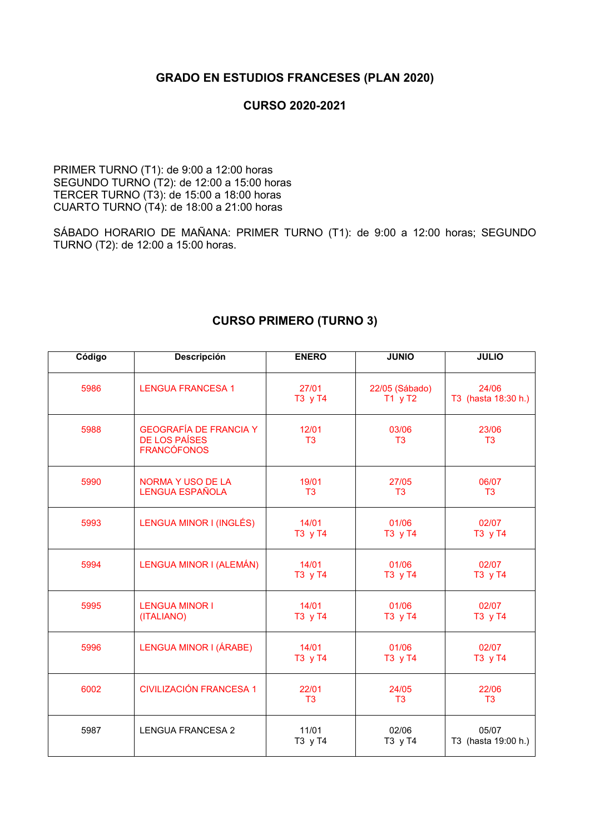## **GRADO EN ESTUDIOS FRANCESES (PLAN 2020)**

## **CURSO 2020-2021**

PRIMER TURNO (T1): de 9:00 a 12:00 horas SEGUNDO TURNO (T2): de 12:00 a 15:00 horas TERCER TURNO (T3): de 15:00 a 18:00 horas CUARTO TURNO (T4): de 18:00 a 21:00 horas

SÁBADO HORARIO DE MAÑANA: PRIMER TURNO (T1): de 9:00 a 12:00 horas; SEGUNDO TURNO (T2): de 12:00 a 15:00 horas.

| Código | Descripción                                                                 | <b>ENERO</b>            | <b>JUNIO</b>                | <b>JULIO</b>                 |
|--------|-----------------------------------------------------------------------------|-------------------------|-----------------------------|------------------------------|
| 5986   | <b>LENGUA FRANCESA 1</b>                                                    | 27/01<br>T3 y T4        | 22/05 (Sábado)<br>$T1$ y T2 | 24/06<br>T3 (hasta 18:30 h.) |
| 5988   | <b>GEOGRAFÍA DE FRANCIA Y</b><br><b>DE LOS PAÍSES</b><br><b>FRANCÓFONOS</b> | 12/01<br>T <sub>3</sub> | 03/06<br>T3                 | 23/06<br>T <sub>3</sub>      |
| 5990   | <b>NORMA Y USO DE LA</b><br><b>LENGUA ESPAÑOLA</b>                          | 19/01<br>T <sub>3</sub> | 27/05<br>T <sub>3</sub>     | 06/07<br>T <sub>3</sub>      |
| 5993   | LENGUA MINOR I (INGLÉS)                                                     | 14/01<br>T3 y T4        | 01/06<br>T3 y T4            | 02/07<br>T3 y T4             |
| 5994   | LENGUA MINOR I (ALEMÁN)                                                     | 14/01<br>T3 y T4        | 01/06<br>T3 y T4            | 02/07<br>T3 y T4             |
| 5995   | <b>LENGUA MINOR I</b><br>(ITALIANO)                                         | 14/01<br>T3 y T4        | 01/06<br>T3 y T4            | 02/07<br>T3 y T4             |
| 5996   | LENGUA MINOR I (ÁRABE)                                                      | 14/01<br>T3 y T4        | 01/06<br>T3 y T4            | 02/07<br>T3 y T4             |
| 6002   | <b>CIVILIZACIÓN FRANCESA 1</b>                                              | 22/01<br>T <sub>3</sub> | 24/05<br>T <sub>3</sub>     | 22/06<br>T <sub>3</sub>      |
| 5987   | <b>LENGUA FRANCESA 2</b>                                                    | 11/01<br>T3 y T4        | 02/06<br>T3 y T4            | 05/07<br>T3 (hasta 19:00 h.) |

## **CURSO PRIMERO (TURNO 3)**